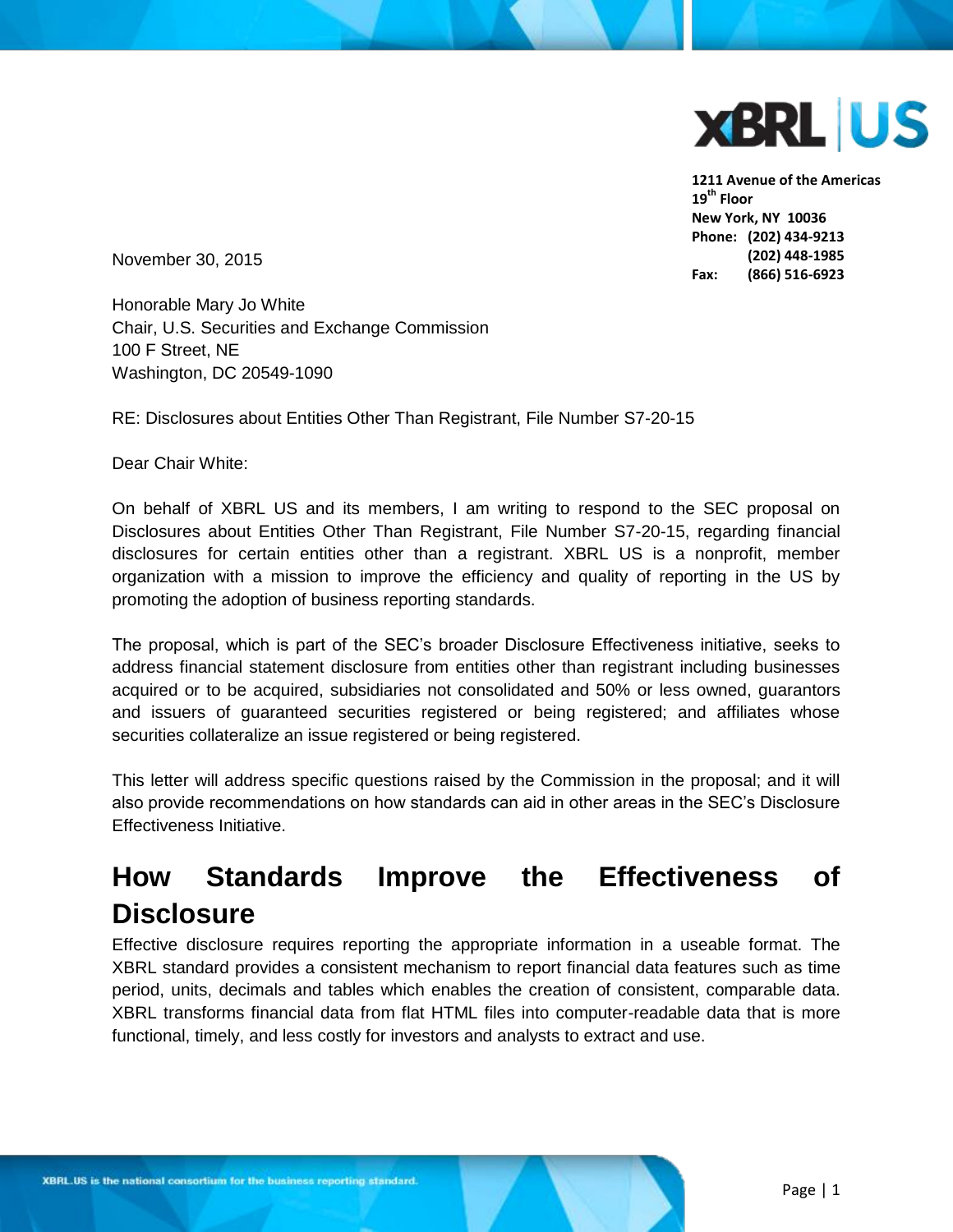

**1211 Avenue of the Americas 19th Floor New York, NY 10036 Phone: (202) 434-9213 (202) 448-1985 Fax: (866) 516-6923**

November 30, 2015

Honorable Mary Jo White Chair, U.S. Securities and Exchange Commission 100 F Street, NE Washington, DC 20549-1090

RE: Disclosures about Entities Other Than Registrant, File Number S7-20-15

Dear Chair White:

On behalf of XBRL US and its members, I am writing to respond to the SEC proposal on Disclosures about Entities Other Than Registrant, File Number S7-20-15, regarding financial disclosures for certain entities other than a registrant. XBRL US is a nonprofit, member organization with a mission to improve the efficiency and quality of reporting in the US by promoting the adoption of business reporting standards.

The proposal, which is part of the SEC's broader Disclosure Effectiveness initiative, seeks to address financial statement disclosure from entities other than registrant including businesses acquired or to be acquired, subsidiaries not consolidated and 50% or less owned, guarantors and issuers of guaranteed securities registered or being registered; and affiliates whose securities collateralize an issue registered or being registered.

This letter will address specific questions raised by the Commission in the proposal; and it will also provide recommendations on how standards can aid in other areas in the SEC's Disclosure Effectiveness Initiative.

# **How Standards Improve the Effectiveness of Disclosure**

Effective disclosure requires reporting the appropriate information in a useable format. The XBRL standard provides a consistent mechanism to report financial data features such as time period, units, decimals and tables which enables the creation of consistent, comparable data. XBRL transforms financial data from flat HTML files into computer-readable data that is more functional, timely, and less costly for investors and analysts to extract and use.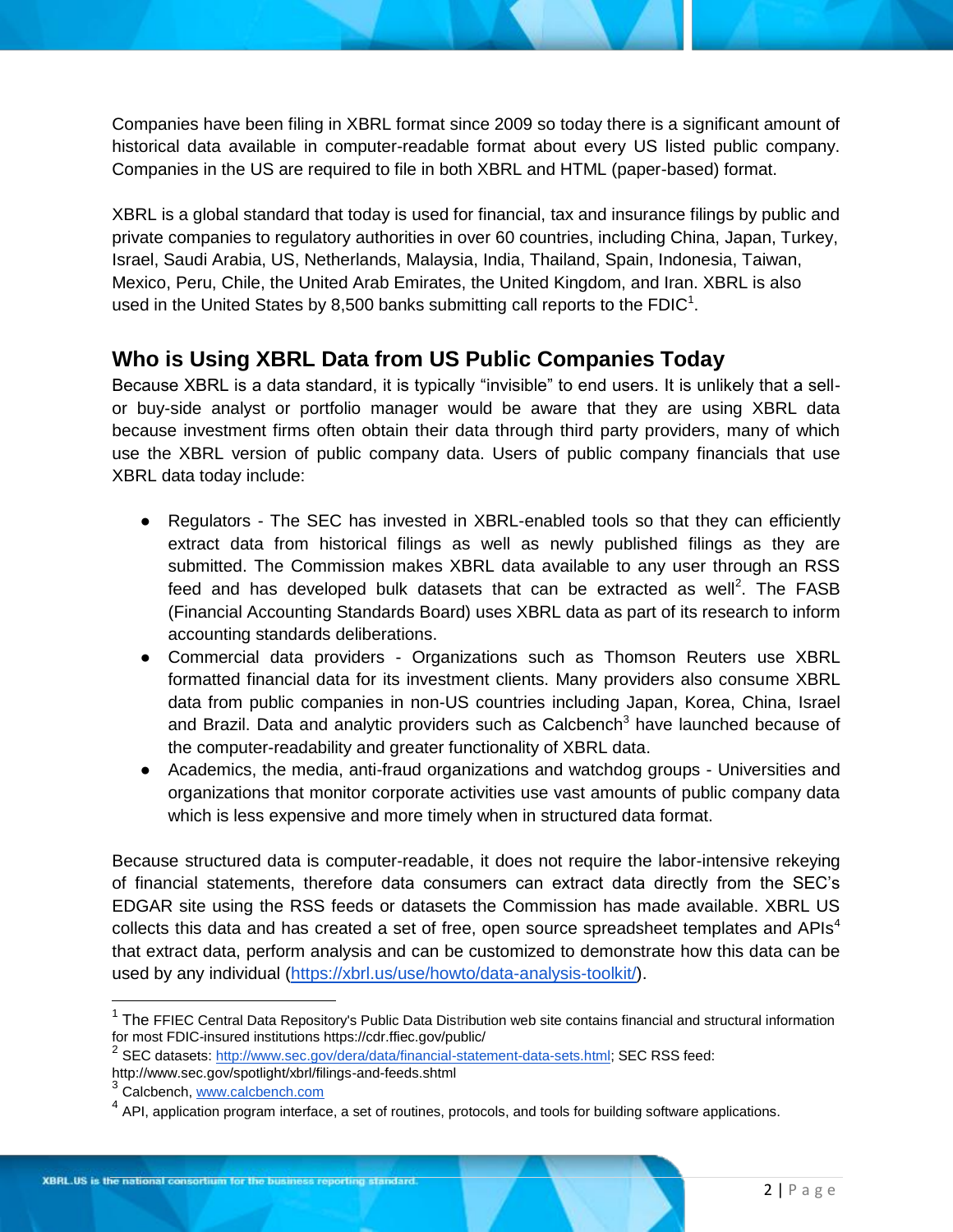Companies have been filing in XBRL format since 2009 so today there is a significant amount of historical data available in computer-readable format about every US listed public company. Companies in the US are required to file in both XBRL and HTML (paper-based) format.

XBRL is a global standard that today is used for financial, tax and insurance filings by public and private companies to regulatory authorities in over 60 countries, including China, Japan, Turkey, Israel, Saudi Arabia, US, Netherlands, Malaysia, India, Thailand, Spain, Indonesia, Taiwan, Mexico, Peru, Chile, the United Arab Emirates, the United Kingdom, and Iran. XBRL is also used in the United States by 8,500 banks submitting call reports to the FDIC<sup>1</sup>.

### **Who is Using XBRL Data from US Public Companies Today**

Because XBRL is a data standard, it is typically "invisible" to end users. It is unlikely that a sellor buy-side analyst or portfolio manager would be aware that they are using XBRL data because investment firms often obtain their data through third party providers, many of which use the XBRL version of public company data. Users of public company financials that use XBRL data today include:

- Regulators The SEC has invested in XBRL-enabled tools so that they can efficiently extract data from historical filings as well as newly published filings as they are submitted. The Commission makes XBRL data available to any user through an RSS feed and has developed bulk datasets that can be extracted as well<sup>2</sup>. The FASB (Financial Accounting Standards Board) uses XBRL data as part of its research to inform accounting standards deliberations.
- Commercial data providers Organizations such as Thomson Reuters use XBRL formatted financial data for its investment clients. Many providers also consume XBRL data from public companies in non-US countries including Japan, Korea, China, Israel and Brazil. Data and analytic providers such as Calcbench<sup>3</sup> have launched because of the computer-readability and greater functionality of XBRL data.
- Academics, the media, anti-fraud organizations and watchdog groups Universities and organizations that monitor corporate activities use vast amounts of public company data which is less expensive and more timely when in structured data format.

Because structured data is computer-readable, it does not require the labor-intensive rekeying of financial statements, therefore data consumers can extract data directly from the SEC's EDGAR site using the RSS feeds or datasets the Commission has made available. XBRL US collects this data and has created a set of free, open source spreadsheet templates and APIs<sup>4</sup> that extract data, perform analysis and can be customized to demonstrate how this data can be used by any individual [\(https://xbrl.us/use/howto/data-analysis-toolkit/\)](https://xbrl.us/use/howto/data-analysis-toolkit/).

 $\overline{a}$ 

<sup>&</sup>lt;sup>1</sup> The FFIEC Central Data Repository's Public Data Distribution web site contains financial and structural information for most FDIC-insured institutions https://cdr.ffiec.gov/public/

<sup>&</sup>lt;sup>2</sup> SEC datasets[: http://www.sec.gov/dera/data/financial-statement-data-sets.html;](http://www.sec.gov/dera/data/financial-statement-data-sets.html) SEC RSS feed: http://www.sec.gov/spotlight/xbrl/filings-and-feeds.shtml

<sup>&</sup>lt;sup>3</sup> Calcbench, [www.calcbench.com](http://www.calcbench.com/)

 $<sup>4</sup>$  API, application program interface, a set of routines, protocols, and tools for building software applications.</sup>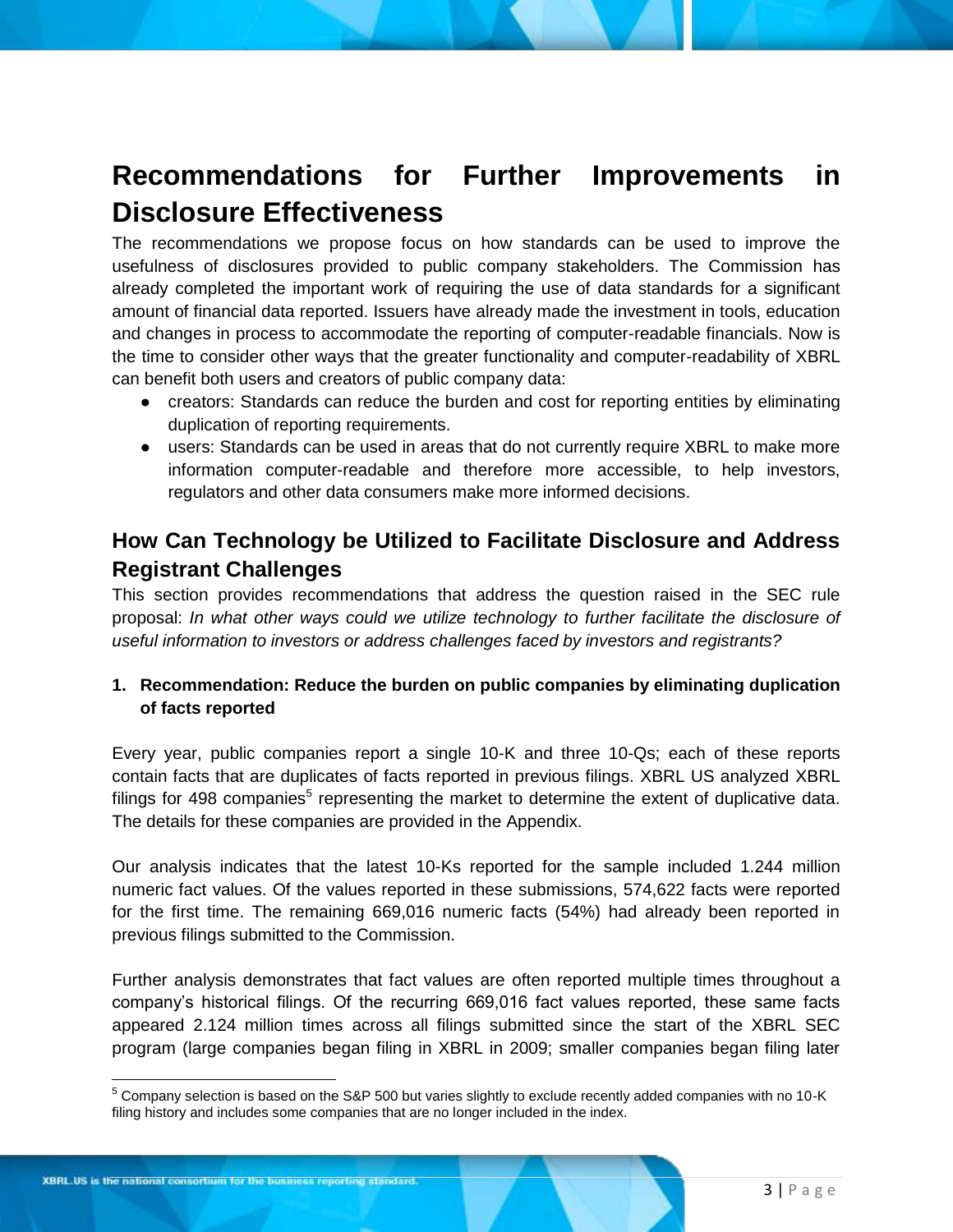# **Recommendations for Further Improvements in Disclosure Effectiveness**

The recommendations we propose focus on how standards can be used to improve the usefulness of disclosures provided to public company stakeholders. The Commission has already completed the important work of requiring the use of data standards for a significant amount of financial data reported. Issuers have already made the investment in tools, education and changes in process to accommodate the reporting of computer-readable financials. Now is the time to consider other ways that the greater functionality and computer-readability of XBRL can benefit both users and creators of public company data:

- creators: Standards can reduce the burden and cost for reporting entities by eliminating duplication of reporting requirements.
- users: Standards can be used in areas that do not currently require XBRL to make more information computer-readable and therefore more accessible, to help investors, regulators and other data consumers make more informed decisions.

## **How Can Technology be Utilized to Facilitate Disclosure and Address Registrant Challenges**

This section provides recommendations that address the question raised in the SEC rule proposal: *In what other ways could we utilize technology to further facilitate the disclosure of useful information to investors or address challenges faced by investors and registrants?* 

### **1. Recommendation: Reduce the burden on public companies by eliminating duplication of facts reported**

Every year, public companies report a single 10-K and three 10-Qs; each of these reports contain facts that are duplicates of facts reported in previous filings. XBRL US analyzed XBRL filings for 498 companies<sup>5</sup> representing the market to determine the extent of duplicative data. The details for these companies are provided in the Appendix.

Our analysis indicates that the latest 10-Ks reported for the sample included 1.244 million numeric fact values. Of the values reported in these submissions, 574,622 facts were reported for the first time. The remaining 669,016 numeric facts (54%) had already been reported in previous filings submitted to the Commission.

Further analysis demonstrates that fact values are often reported multiple times throughout a company's historical filings. Of the recurring 669,016 fact values reported, these same facts appeared 2.124 million times across all filings submitted since the start of the XBRL SEC program (large companies began filing in XBRL in 2009; smaller companies began filing later

 $\overline{a}$ 

 $^5$  Company selection is based on the S&P 500 but varies slightly to exclude recently added companies with no 10-K filing history and includes some companies that are no longer included in the index.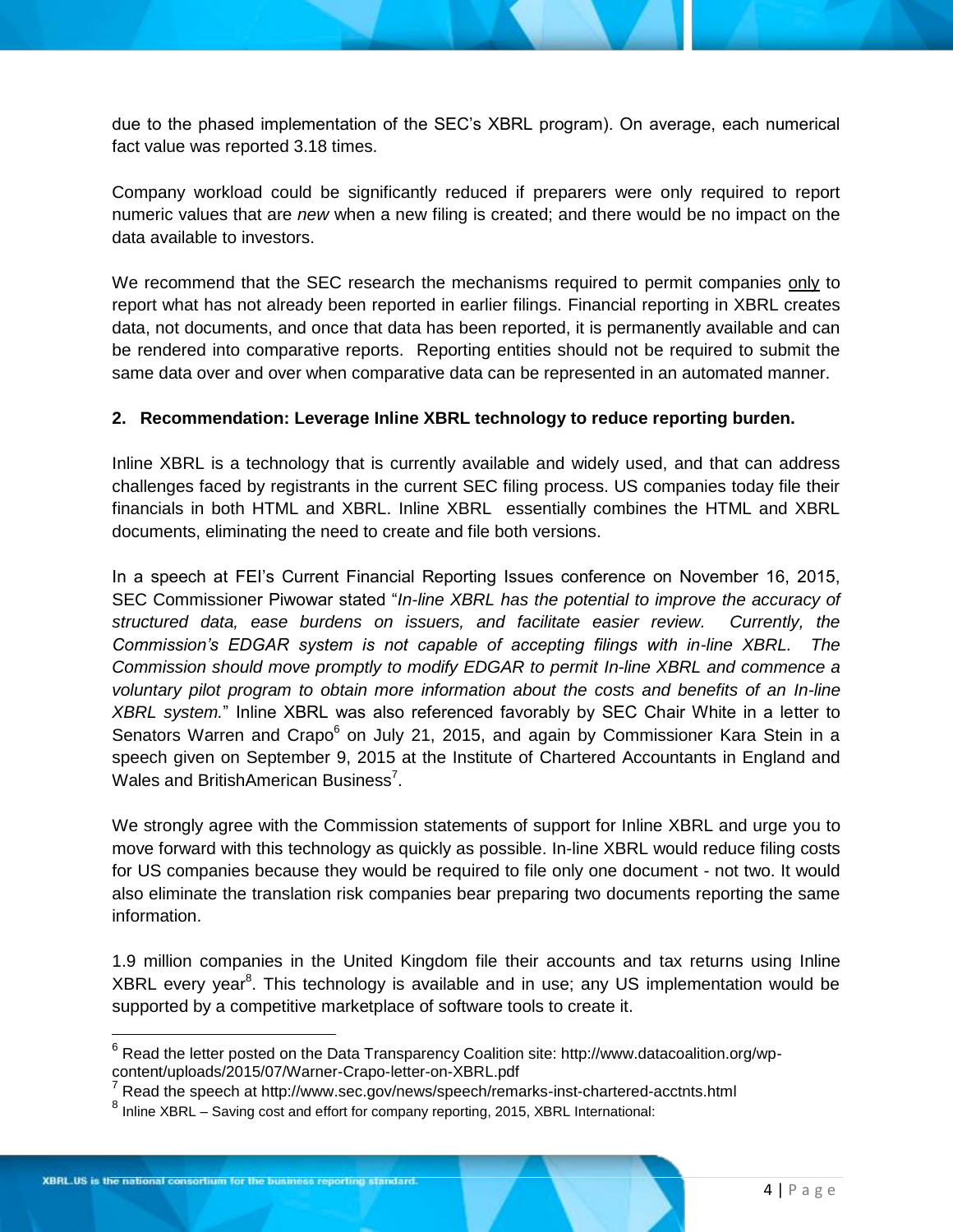due to the phased implementation of the SEC's XBRL program). On average, each numerical fact value was reported 3.18 times.

Company workload could be significantly reduced if preparers were only required to report numeric values that are *new* when a new filing is created; and there would be no impact on the data available to investors.

We recommend that the SEC research the mechanisms required to permit companies only to report what has not already been reported in earlier filings. Financial reporting in XBRL creates data, not documents, and once that data has been reported, it is permanently available and can be rendered into comparative reports. Reporting entities should not be required to submit the same data over and over when comparative data can be represented in an automated manner.

#### **2. Recommendation: Leverage Inline XBRL technology to reduce reporting burden.**

Inline XBRL is a technology that is currently available and widely used, and that can address challenges faced by registrants in the current SEC filing process. US companies today file their financials in both HTML and XBRL. Inline XBRL essentially combines the HTML and XBRL documents, eliminating the need to create and file both versions.

In a speech at FEI's Current Financial Reporting Issues conference on November 16, 2015, SEC Commissioner Piwowar stated "*In-line XBRL has the potential to improve the accuracy of structured data, ease burdens on issuers, and facilitate easier review. Currently, the Commission's EDGAR system is not capable of accepting filings with in-line XBRL. The Commission should move promptly to modify EDGAR to permit In-line XBRL and commence a voluntary pilot program to obtain more information about the costs and benefits of an In-line XBRL system.*" Inline XBRL was also referenced favorably by SEC Chair White in a letter to Senators Warren and Crapo<sup>6</sup> on July 21, 2015, and again by Commissioner Kara Stein in a speech given on September 9, 2015 at the Institute of Chartered Accountants in England and Wales and BritishAmerican Business<sup>7</sup>.

We strongly agree with the Commission statements of support for Inline XBRL and urge you to move forward with this technology as quickly as possible. In-line XBRL would reduce filing costs for US companies because they would be required to file only one document - not two. It would also eliminate the translation risk companies bear preparing two documents reporting the same information.

1.9 million companies in the United Kingdom file their accounts and tax returns using Inline XBRL every year<sup>8</sup>. This technology is available and in use; any US implementation would be supported by a competitive marketplace of software tools to create it.

 $\overline{\phantom{a}}$ 

 $6$  Read the letter posted on the Data Transparency Coalition site: http://www.datacoalition.org/wpcontent/uploads/2015/07/Warner-Crapo-letter-on-XBRL.pdf

 $7$  Read the speech at http://www.sec.gov/news/speech/remarks-inst-chartered-acctnts.html

<sup>&</sup>lt;sup>8</sup> Inline XBRL – Saving cost and effort for company reporting, 2015, XBRL International: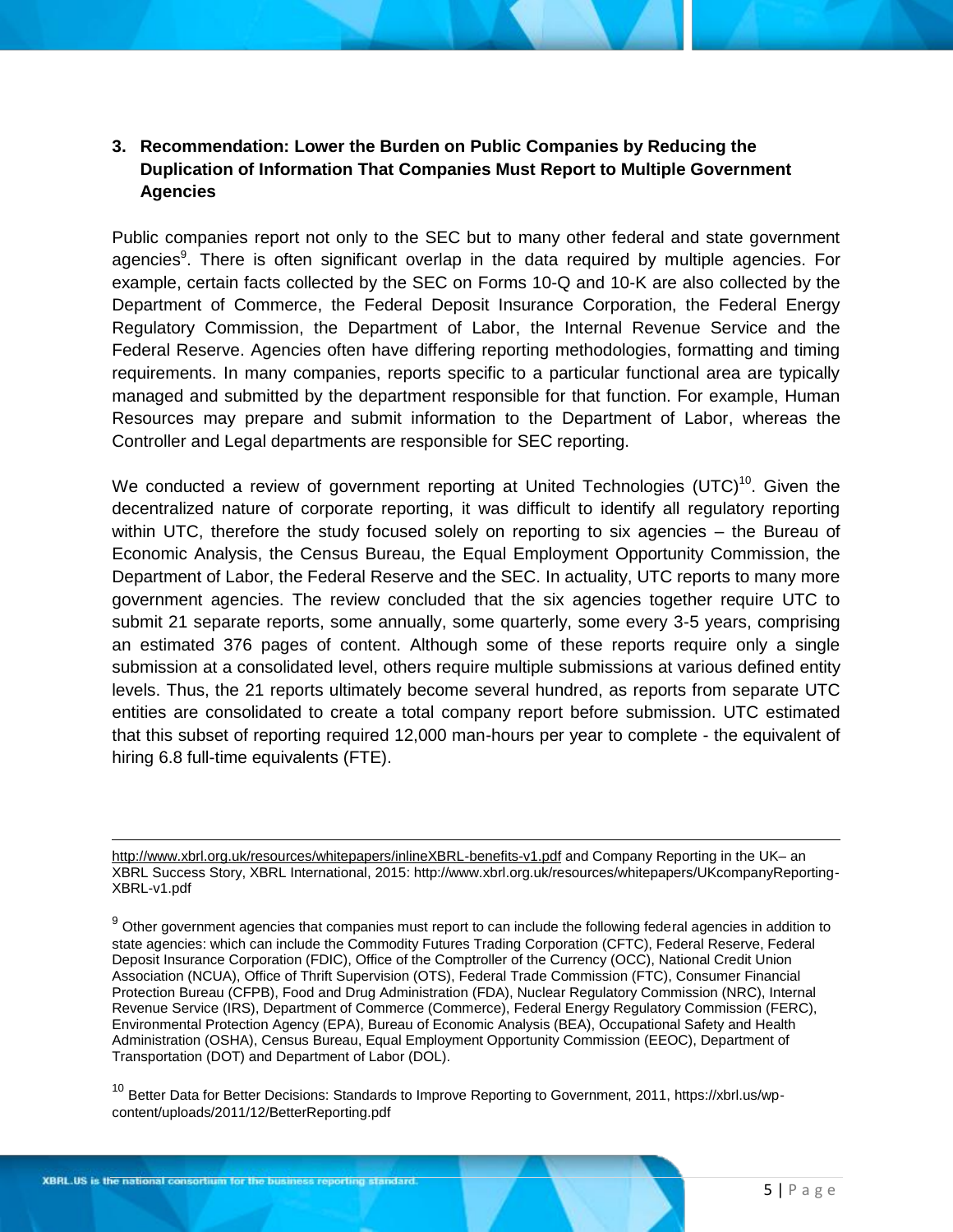#### **3. Recommendation: Lower the Burden on Public Companies by Reducing the Duplication of Information That Companies Must Report to Multiple Government Agencies**

Public companies report not only to the SEC but to many other federal and state government agencies<sup>9</sup>. There is often significant overlap in the data required by multiple agencies. For example, certain facts collected by the SEC on Forms 10-Q and 10-K are also collected by the Department of Commerce, the Federal Deposit Insurance Corporation, the Federal Energy Regulatory Commission, the Department of Labor, the Internal Revenue Service and the Federal Reserve. Agencies often have differing reporting methodologies, formatting and timing requirements. In many companies, reports specific to a particular functional area are typically managed and submitted by the department responsible for that function. For example, Human Resources may prepare and submit information to the Department of Labor, whereas the Controller and Legal departments are responsible for SEC reporting.

We conducted a review of government reporting at United Technologies (UTC)<sup>10</sup>. Given the decentralized nature of corporate reporting, it was difficult to identify all regulatory reporting within UTC, therefore the study focused solely on reporting to six agencies – the Bureau of Economic Analysis, the Census Bureau, the Equal Employment Opportunity Commission, the Department of Labor, the Federal Reserve and the SEC. In actuality, UTC reports to many more government agencies. The review concluded that the six agencies together require UTC to submit 21 separate reports, some annually, some quarterly, some every 3-5 years, comprising an estimated 376 pages of content. Although some of these reports require only a single submission at a consolidated level, others require multiple submissions at various defined entity levels. Thus, the 21 reports ultimately become several hundred, as reports from separate UTC entities are consolidated to create a total company report before submission. UTC estimated that this subset of reporting required 12,000 man-hours per year to complete - the equivalent of hiring 6.8 full-time equivalents (FTE).

<sup>10</sup> Better Data for Better Decisions: Standards to Improve Reporting to Government, 2011, https://xbrl.us/wpcontent/uploads/2011/12/BetterReporting.pdf

l <http://www.xbrl.org.uk/resources/whitepapers/inlineXBRL-benefits-v1.pdf> and Company Reporting in the UK– an XBRL Success Story, XBRL International, 2015: http://www.xbrl.org.uk/resources/whitepapers/UKcompanyReporting-XBRL-v1.pdf

 $9$  Other government agencies that companies must report to can include the following federal agencies in addition to state agencies: which can include the Commodity Futures Trading Corporation (CFTC), Federal Reserve, Federal Deposit Insurance Corporation (FDIC), Office of the Comptroller of the Currency (OCC), National Credit Union Association (NCUA), Office of Thrift Supervision (OTS), Federal Trade Commission (FTC), Consumer Financial Protection Bureau (CFPB), Food and Drug Administration (FDA), Nuclear Regulatory Commission (NRC), Internal Revenue Service (IRS), Department of Commerce (Commerce), Federal Energy Regulatory Commission (FERC), Environmental Protection Agency (EPA), Bureau of Economic Analysis (BEA), Occupational Safety and Health Administration (OSHA), Census Bureau, Equal Employment Opportunity Commission (EEOC), Department of Transportation (DOT) and Department of Labor (DOL).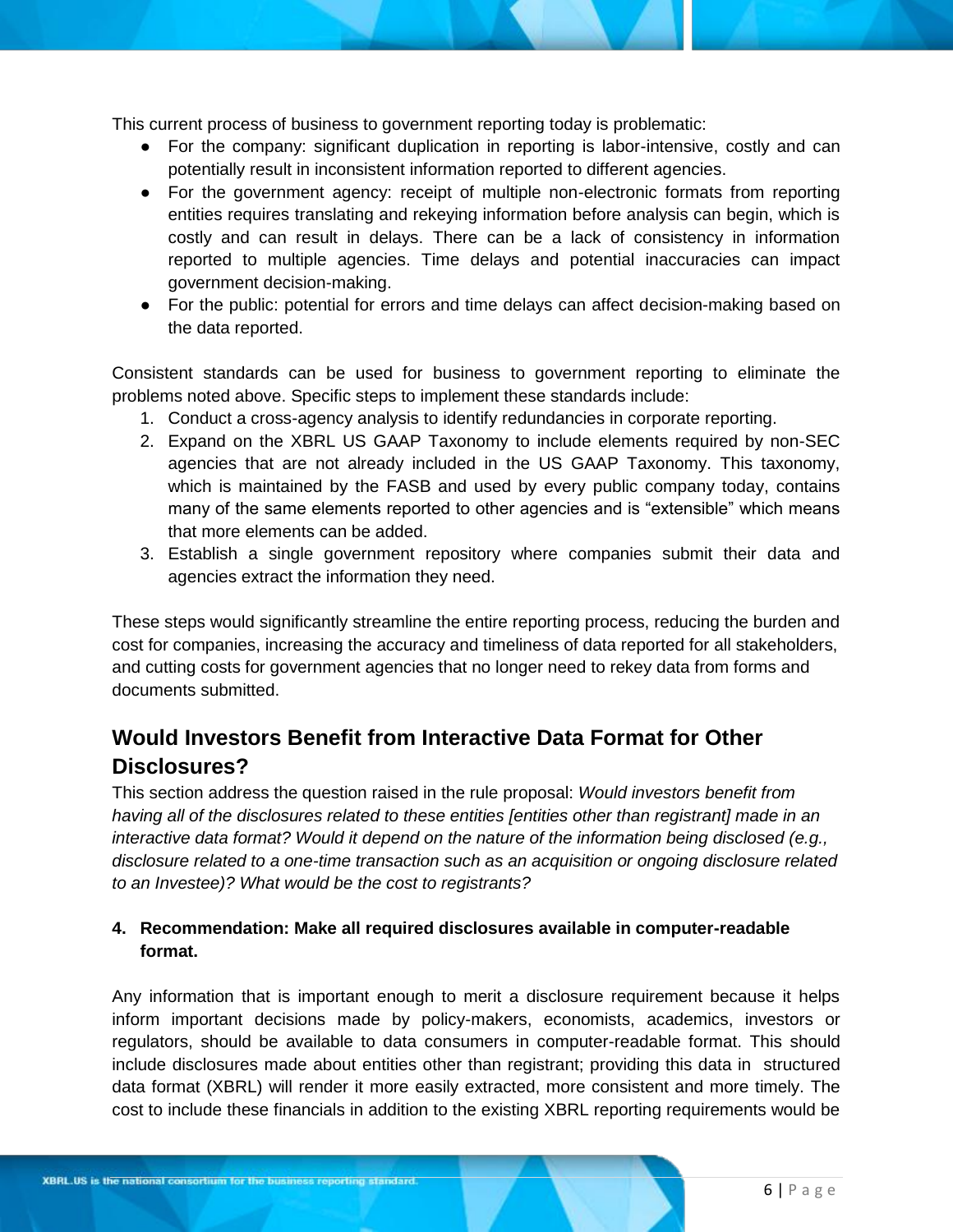This current process of business to government reporting today is problematic:

- For the company: significant duplication in reporting is labor-intensive, costly and can potentially result in inconsistent information reported to different agencies.
- For the government agency: receipt of multiple non-electronic formats from reporting entities requires translating and rekeying information before analysis can begin, which is costly and can result in delays. There can be a lack of consistency in information reported to multiple agencies. Time delays and potential inaccuracies can impact government decision-making.
- For the public: potential for errors and time delays can affect decision-making based on the data reported.

Consistent standards can be used for business to government reporting to eliminate the problems noted above. Specific steps to implement these standards include:

- 1. Conduct a cross-agency analysis to identify redundancies in corporate reporting.
- 2. Expand on the XBRL US GAAP Taxonomy to include elements required by non-SEC agencies that are not already included in the US GAAP Taxonomy. This taxonomy, which is maintained by the FASB and used by every public company today, contains many of the same elements reported to other agencies and is "extensible" which means that more elements can be added.
- 3. Establish a single government repository where companies submit their data and agencies extract the information they need.

These steps would significantly streamline the entire reporting process, reducing the burden and cost for companies, increasing the accuracy and timeliness of data reported for all stakeholders, and cutting costs for government agencies that no longer need to rekey data from forms and documents submitted.

## **Would Investors Benefit from Interactive Data Format for Other Disclosures?**

This section address the question raised in the rule proposal: *Would investors benefit from having all of the disclosures related to these entities [entities other than registrant] made in an interactive data format? Would it depend on the nature of the information being disclosed (e.g., disclosure related to a one-time transaction such as an acquisition or ongoing disclosure related to an Investee)? What would be the cost to registrants?* 

#### **4. Recommendation: Make all required disclosures available in computer-readable format.**

Any information that is important enough to merit a disclosure requirement because it helps inform important decisions made by policy-makers, economists, academics, investors or regulators, should be available to data consumers in computer-readable format. This should include disclosures made about entities other than registrant; providing this data in structured data format (XBRL) will render it more easily extracted, more consistent and more timely. The cost to include these financials in addition to the existing XBRL reporting requirements would be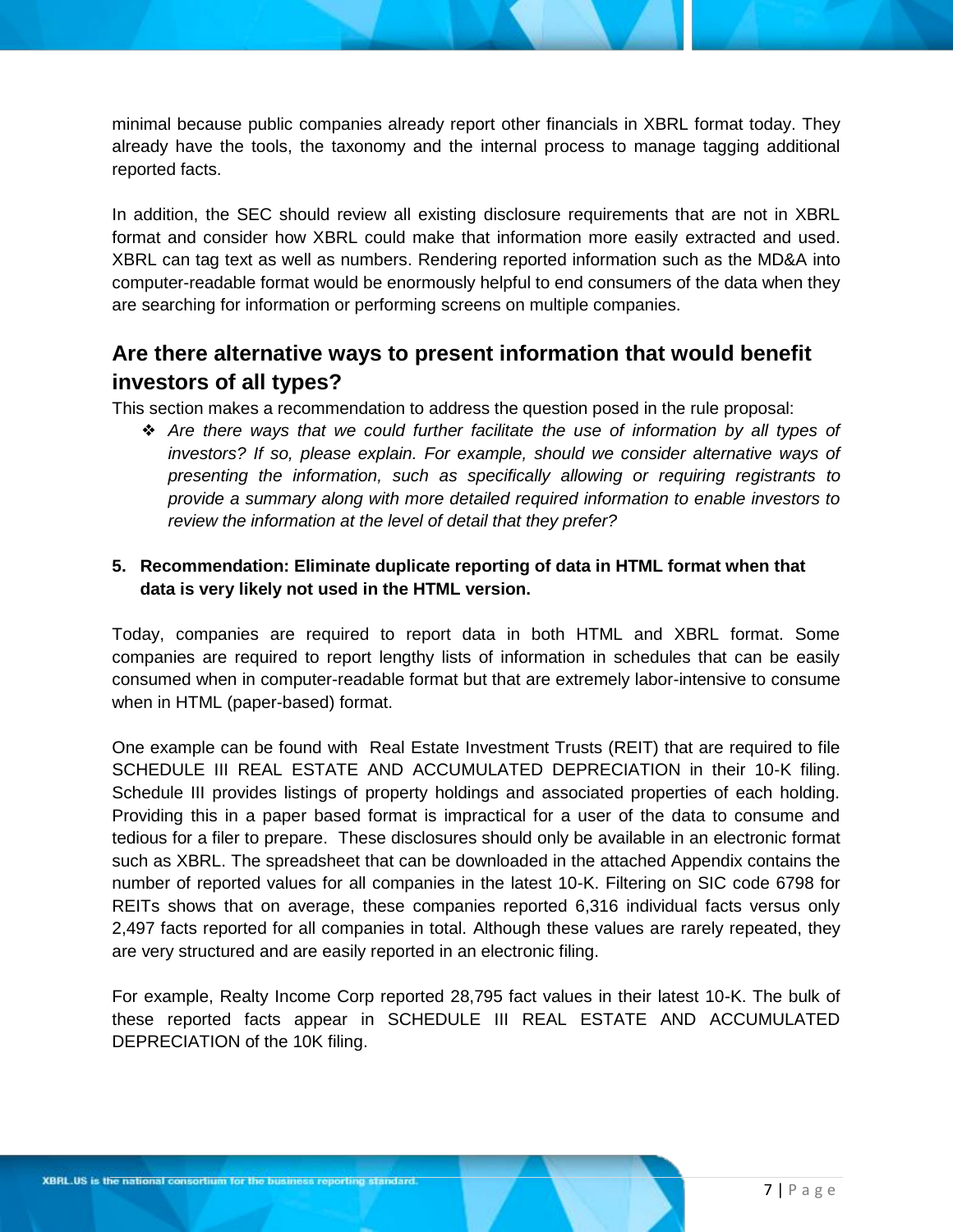minimal because public companies already report other financials in XBRL format today. They already have the tools, the taxonomy and the internal process to manage tagging additional reported facts.

In addition, the SEC should review all existing disclosure requirements that are not in XBRL format and consider how XBRL could make that information more easily extracted and used. XBRL can tag text as well as numbers. Rendering reported information such as the MD&A into computer-readable format would be enormously helpful to end consumers of the data when they are searching for information or performing screens on multiple companies.

### **Are there alternative ways to present information that would benefit investors of all types?**

This section makes a recommendation to address the question posed in the rule proposal:

❖ *Are there ways that we could further facilitate the use of information by all types of investors? If so, please explain. For example, should we consider alternative ways of presenting the information, such as specifically allowing or requiring registrants to provide a summary along with more detailed required information to enable investors to review the information at the level of detail that they prefer?* 

### **5. Recommendation: Eliminate duplicate reporting of data in HTML format when that data is very likely not used in the HTML version.**

Today, companies are required to report data in both HTML and XBRL format. Some companies are required to report lengthy lists of information in schedules that can be easily consumed when in computer-readable format but that are extremely labor-intensive to consume when in HTML (paper-based) format.

One example can be found with Real Estate Investment Trusts (REIT) that are required to file SCHEDULE III REAL ESTATE AND ACCUMULATED DEPRECIATION in their 10-K filing. Schedule III provides listings of property holdings and associated properties of each holding. Providing this in a paper based format is impractical for a user of the data to consume and tedious for a filer to prepare. These disclosures should only be available in an electronic format such as XBRL. The spreadsheet that can be downloaded in the attached Appendix contains the number of reported values for all companies in the latest 10-K. Filtering on SIC code 6798 for REITs shows that on average, these companies reported 6,316 individual facts versus only 2,497 facts reported for all companies in total. Although these values are rarely repeated, they are very structured and are easily reported in an electronic filing.

For example, Realty Income Corp reported 28,795 fact values in their latest 10-K. The bulk of these reported facts appear in SCHEDULE III REAL ESTATE AND ACCUMULATED DEPRECIATION of the 10K filing.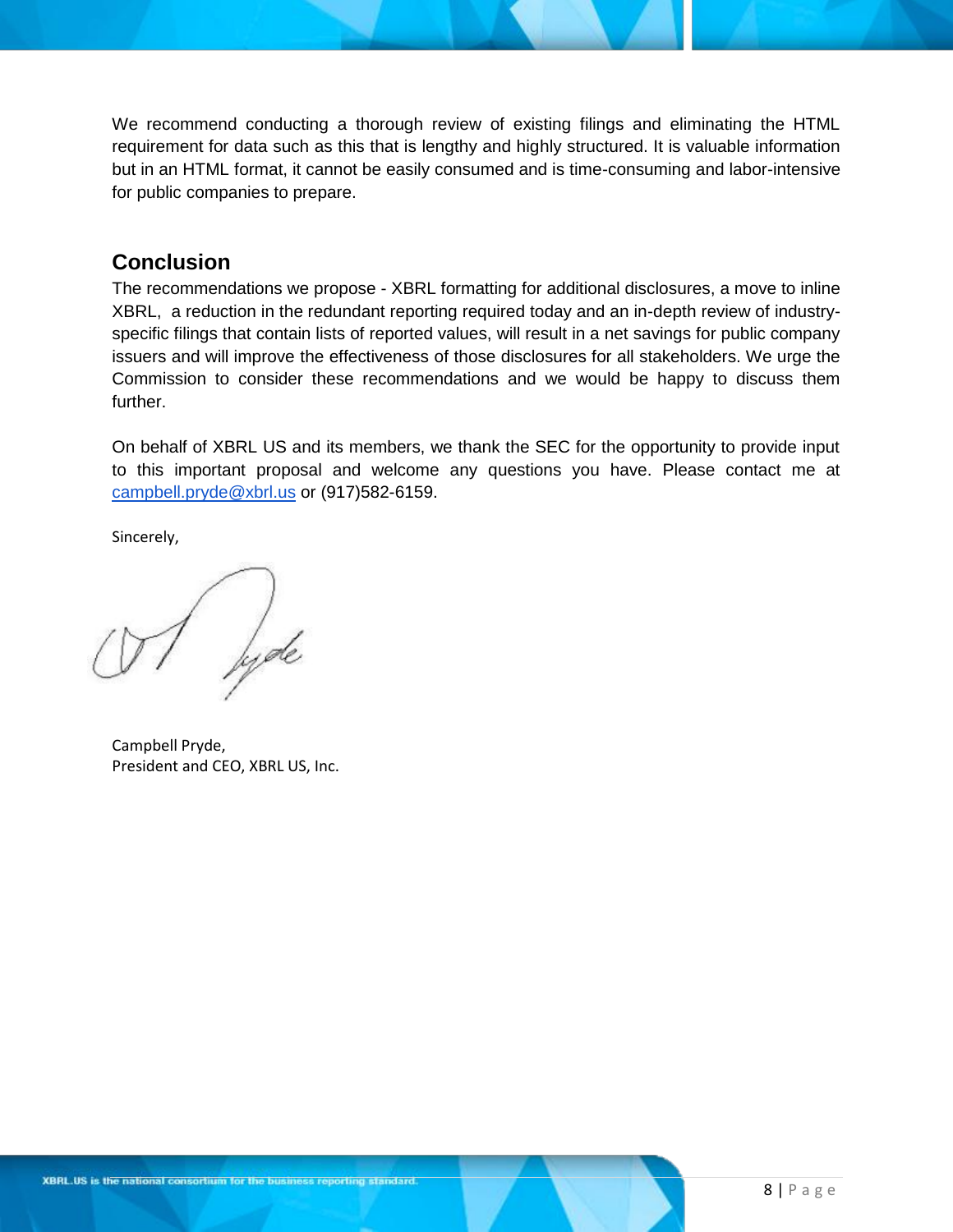We recommend conducting a thorough review of existing filings and eliminating the HTML requirement for data such as this that is lengthy and highly structured. It is valuable information but in an HTML format, it cannot be easily consumed and is time-consuming and labor-intensive for public companies to prepare.

### **Conclusion**

The recommendations we propose - XBRL formatting for additional disclosures, a move to inline XBRL, a reduction in the redundant reporting required today and an in-depth review of industryspecific filings that contain lists of reported values, will result in a net savings for public company issuers and will improve the effectiveness of those disclosures for all stakeholders. We urge the Commission to consider these recommendations and we would be happy to discuss them further.

On behalf of XBRL US and its members, we thank the SEC for the opportunity to provide input to this important proposal and welcome any questions you have. Please contact me at [campbell.pryde@xbrl.us](mailto:campbell.pryde@xbrl.us) or (917)582-6159.

Sincerely,

lyde

Campbell Pryde, President and CEO, XBRL US, Inc.